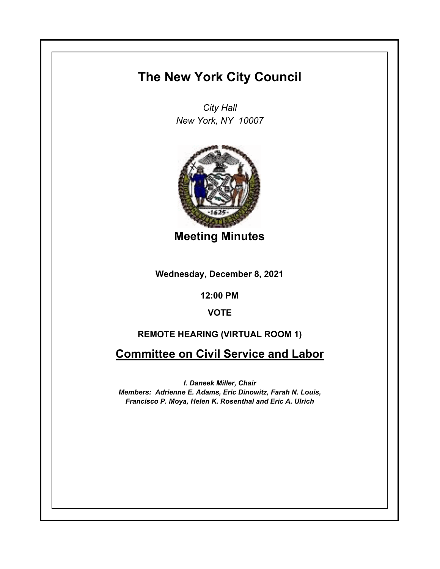## **The New York City Council**

*City Hall New York, NY 10007*



**Meeting Minutes**

**Wednesday, December 8, 2021**

**12:00 PM**

**VOTE**

## **REMOTE HEARING (VIRTUAL ROOM 1)**

**Committee on Civil Service and Labor**

*I. Daneek Miller, Chair Members: Adrienne E. Adams, Eric Dinowitz, Farah N. Louis, Francisco P. Moya, Helen K. Rosenthal and Eric A. Ulrich*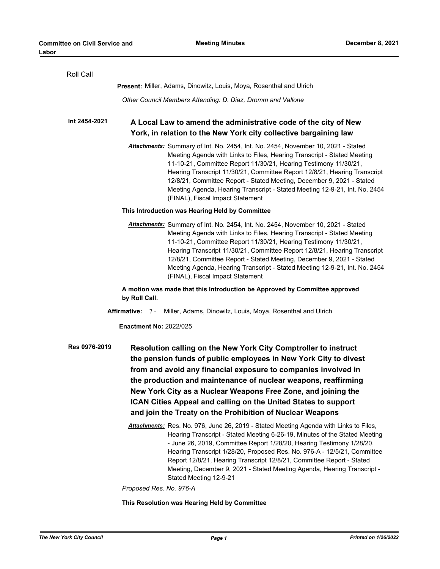| Roll Call                                                                                                                                                                                                                                                                                                                                                                                                                                                                                |                                                                                                                                                                                                                                                                                                                                                                                                                                                                                                         |
|------------------------------------------------------------------------------------------------------------------------------------------------------------------------------------------------------------------------------------------------------------------------------------------------------------------------------------------------------------------------------------------------------------------------------------------------------------------------------------------|---------------------------------------------------------------------------------------------------------------------------------------------------------------------------------------------------------------------------------------------------------------------------------------------------------------------------------------------------------------------------------------------------------------------------------------------------------------------------------------------------------|
|                                                                                                                                                                                                                                                                                                                                                                                                                                                                                          | <b>Present:</b> Miller, Adams, Dinowitz, Louis, Moya, Rosenthal and Ulrich                                                                                                                                                                                                                                                                                                                                                                                                                              |
|                                                                                                                                                                                                                                                                                                                                                                                                                                                                                          | Other Council Members Attending: D. Diaz, Dromm and Vallone                                                                                                                                                                                                                                                                                                                                                                                                                                             |
| Int 2454-2021                                                                                                                                                                                                                                                                                                                                                                                                                                                                            | A Local Law to amend the administrative code of the city of New                                                                                                                                                                                                                                                                                                                                                                                                                                         |
| York, in relation to the New York city collective bargaining law                                                                                                                                                                                                                                                                                                                                                                                                                         |                                                                                                                                                                                                                                                                                                                                                                                                                                                                                                         |
|                                                                                                                                                                                                                                                                                                                                                                                                                                                                                          | Attachments: Summary of Int. No. 2454, Int. No. 2454, November 10, 2021 - Stated<br>Meeting Agenda with Links to Files, Hearing Transcript - Stated Meeting<br>11-10-21, Committee Report 11/30/21, Hearing Testimony 11/30/21,<br>Hearing Transcript 11/30/21, Committee Report 12/8/21, Hearing Transcript<br>12/8/21, Committee Report - Stated Meeting, December 9, 2021 - Stated<br>Meeting Agenda, Hearing Transcript - Stated Meeting 12-9-21, Int. No. 2454<br>(FINAL), Fiscal Impact Statement |
| This Introduction was Hearing Held by Committee                                                                                                                                                                                                                                                                                                                                                                                                                                          |                                                                                                                                                                                                                                                                                                                                                                                                                                                                                                         |
|                                                                                                                                                                                                                                                                                                                                                                                                                                                                                          | Attachments: Summary of Int. No. 2454, Int. No. 2454, November 10, 2021 - Stated<br>Meeting Agenda with Links to Files, Hearing Transcript - Stated Meeting<br>11-10-21, Committee Report 11/30/21, Hearing Testimony 11/30/21,<br>Hearing Transcript 11/30/21, Committee Report 12/8/21, Hearing Transcript<br>12/8/21, Committee Report - Stated Meeting, December 9, 2021 - Stated<br>Meeting Agenda, Hearing Transcript - Stated Meeting 12-9-21, Int. No. 2454<br>(FINAL), Fiscal Impact Statement |
| A motion was made that this Introduction be Approved by Committee approved<br>by Roll Call.                                                                                                                                                                                                                                                                                                                                                                                              |                                                                                                                                                                                                                                                                                                                                                                                                                                                                                                         |
| Miller, Adams, Dinowitz, Louis, Moya, Rosenthal and Ulrich<br><b>Affirmative: 7-</b>                                                                                                                                                                                                                                                                                                                                                                                                     |                                                                                                                                                                                                                                                                                                                                                                                                                                                                                                         |
| <b>Enactment No: 2022/025</b>                                                                                                                                                                                                                                                                                                                                                                                                                                                            |                                                                                                                                                                                                                                                                                                                                                                                                                                                                                                         |
| Res 0976-2019<br>Resolution calling on the New York City Comptroller to instruct<br>the pension funds of public employees in New York City to divest<br>from and avoid any financial exposure to companies involved in<br>the production and maintenance of nuclear weapons, reaffirming<br>New York City as a Nuclear Weapons Free Zone, and joining the<br>ICAN Cities Appeal and calling on the United States to support<br>and join the Treaty on the Prohibition of Nuclear Weapons |                                                                                                                                                                                                                                                                                                                                                                                                                                                                                                         |
|                                                                                                                                                                                                                                                                                                                                                                                                                                                                                          | Attachments: Res. No. 976, June 26, 2019 - Stated Meeting Agenda with Links to Files,<br>Hearing Transcript - Stated Meeting 6-26-19, Minutes of the Stated Meeting<br>- June 26, 2019, Committee Report 1/28/20, Hearing Testimony 1/28/20,<br>Hearing Transcript 1/28/20, Proposed Res. No. 976-A - 12/5/21, Committee<br>Report 12/8/21, Hearing Transcript 12/8/21, Committee Report - Stated<br>Meeting, December 9, 2021 - Stated Meeting Agenda, Hearing Transcript -<br>Stated Meeting 12-9-21  |
| Proposed Res. No. 976-A                                                                                                                                                                                                                                                                                                                                                                                                                                                                  |                                                                                                                                                                                                                                                                                                                                                                                                                                                                                                         |
| This Resolution was Hearing Held by Committee                                                                                                                                                                                                                                                                                                                                                                                                                                            |                                                                                                                                                                                                                                                                                                                                                                                                                                                                                                         |